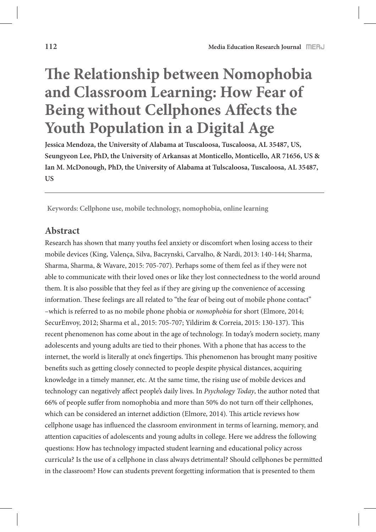# **!e Relationship between Nomophobia and Classroom Learning: How Fear of Being without Cellphones Affects the Youth Population in a Digital Age**

**Jessica Mendoza, the University of Alabama at Tuscaloosa, Tuscaloosa, AL 35487, US, Seungyeon Lee, PhD, the University of Arkansas at Monticello, Monticello, AR 71656, US & Ian M. McDonough, PhD, the University of Alabama at Tulscaloosa, Tuscaloosa, AL 35487, US** 

**Keywords: Cellphone use, mobile technology, nomophobia, online learning**

## **Abstract**

Research has shown that many youths feel anxiety or discomfort when losing access to their mobile devices (King, Valença, Silva, Baczynski, Carvalho, & Nardi, 2013: 140-144; Sharma, Sharma, Sharma, & Wavare, 2015: 705-707). Perhaps some of them feel as if they were not able to communicate with their loved ones or like they lost connectedness to the world around them. It is also possible that they feel as if they are giving up the convenience of accessing information. These feelings are all related to "the fear of being out of mobile phone contact" –which is referred to as no mobile phone phobia or *nomophobia* for short (Elmore, 2014; SecurEnvoy, 2012; Sharma et al., 2015: 705-707; Yildirim & Correia, 2015: 130-137). This recent phenomenon has come about in the age of technology. In today's modern society, many adolescents and young adults are tied to their phones. With a phone that has access to the internet, the world is literally at one's fingertips. This phenomenon has brought many positive benefits such as getting closely connected to people despite physical distances, acquiring knowledge in a timely manner, etc. At the same time, the rising use of mobile devices and technology can negatively affect people's daily lives. In *Psychology Today*, the author noted that 66% of people suffer from nomophobia and more than 50% do not turn off their cellphones, which can be considered an internet addiction (Elmore, 2014). This article reviews how cellphone usage has influenced the classroom environment in terms of learning, memory, and attention capacities of adolescents and young adults in college. Here we address the following questions: How has technology impacted student learning and educational policy across curricula? Is the use of a cellphone in class always detrimental? Should cellphones be permitted in the classroom? How can students prevent forgetting information that is presented to them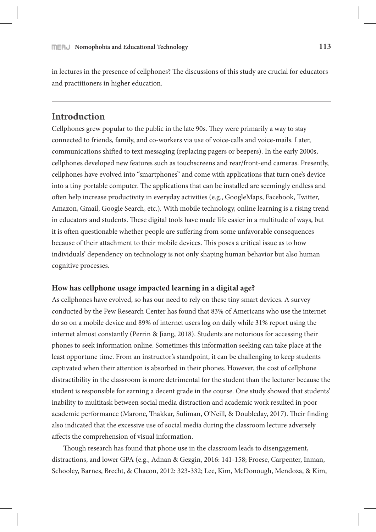in lectures in the presence of cellphones? The discussions of this study are crucial for educators and practitioners in higher education.

# **Introduction**

Cellphones grew popular to the public in the late 90s. They were primarily a way to stay connected to friends, family, and co-workers via use of voice-calls and voice-mails. Later, communications shifted to text messaging (replacing pagers or beepers). In the early 2000s, cellphones developed new features such as touchscreens and rear/front-end cameras. Presently, cellphones have evolved into "smartphones" and come with applications that turn one's device into a tiny portable computer. The applications that can be installed are seemingly endless and often help increase productivity in everyday activities (e.g., GoogleMaps, Facebook, Twitter, Amazon, Gmail, Google Search, etc.). With mobile technology, online learning is a rising trend in educators and students. These digital tools have made life easier in a multitude of ways, but it is often questionable whether people are suffering from some unfavorable consequences because of their attachment to their mobile devices. This poses a critical issue as to how individuals' dependency on technology is not only shaping human behavior but also human cognitive processes.

#### **How has cellphone usage impacted learning in a digital age?**

As cellphones have evolved, so has our need to rely on these tiny smart devices. A survey conducted by the Pew Research Center has found that 83% of Americans who use the internet do so on a mobile device and 89% of internet users log on daily while 31% report using the internet almost constantly (Perrin & Jiang, 2018). Students are notorious for accessing their phones to seek information online. Sometimes this information seeking can take place at the least opportune time. From an instructor's standpoint, it can be challenging to keep students captivated when their attention is absorbed in their phones. However, the cost of cellphone distractibility in the classroom is more detrimental for the student than the lecturer because the student is responsible for earning a decent grade in the course. One study showed that students' inability to multitask between social media distraction and academic work resulted in poor academic performance (Marone, Thakkar, Suliman, O'Neill, & Doubleday, 2017). Their finding also indicated that the excessive use of social media during the classroom lecture adversely affects the comprehension of visual information.

Though research has found that phone use in the classroom leads to disengagement, distractions, and lower GPA (e.g., Adnan & Gezgin, 2016: 141-158; Froese, Carpenter, Inman, Schooley, Barnes, Brecht, & Chacon, 2012: 323-332; Lee, Kim, McDonough, Mendoza, & Kim,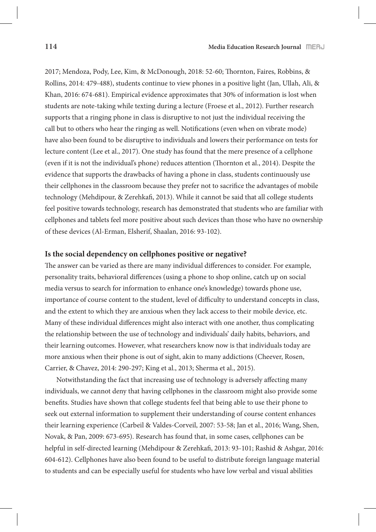2017; Mendoza, Pody, Lee, Kim, & McDonough, 2018: 52-60; Thornton, Faires, Robbins, & Rollins, 2014: 479-488), students continue to view phones in a positive light (Jan, Ullah, Ali, & Khan, 2016: 674-681). Empirical evidence approximates that 30% of information is lost when students are note-taking while texting during a lecture (Froese et al., 2012). Further research supports that a ringing phone in class is disruptive to not just the individual receiving the call but to others who hear the ringing as well. Notifications (even when on vibrate mode) have also been found to be disruptive to individuals and lowers their performance on tests for lecture content (Lee et al., 2017). One study has found that the mere presence of a cellphone (even if it is not the individual's phone) reduces attention (Thornton et al.,  $2014$ ). Despite the evidence that supports the drawbacks of having a phone in class, students continuously use their cellphones in the classroom because they prefer not to sacrifice the advantages of mobile technology (Mehdipour, & Zerehkafi, 2013). While it cannot be said that all college students feel positive towards technology, research has demonstrated that students who are familiar with cellphones and tablets feel more positive about such devices than those who have no ownership of these devices (Al-Erman, Elsherif, Shaalan, 2016: 93-102).

#### **Is the social dependency on cellphones positive or negative?**

The answer can be varied as there are many individual differences to consider. For example, personality traits, behavioral differences (using a phone to shop online, catch up on social media versus to search for information to enhance one's knowledge) towards phone use, importance of course content to the student, level of difficulty to understand concepts in class, and the extent to which they are anxious when they lack access to their mobile device, etc. Many of these individual differences might also interact with one another, thus complicating the relationship between the use of technology and individuals' daily habits, behaviors, and their learning outcomes. However, what researchers know now is that individuals today are more anxious when their phone is out of sight, akin to many addictions (Cheever, Rosen, Carrier, & Chavez, 2014: 290-297; King et al., 2013; Sherma et al., 2015).

Notwithstanding the fact that increasing use of technology is adversely affecting many individuals, we cannot deny that having cellphones in the classroom might also provide some benefits. Studies have shown that college students feel that being able to use their phone to seek out external information to supplement their understanding of course content enhances their learning experience (Carbeil & Valdes-Corveil, 2007: 53-58; Jan et al., 2016; Wang, Shen, Novak, & Pan, 2009: 673-695). Research has found that, in some cases, cellphones can be helpful in self-directed learning (Mehdipour & Zerehkafi, 2013: 93-101; Rashid & Ashgar, 2016: 604-612). Cellphones have also been found to be useful to distribute foreign language material to students and can be especially useful for students who have low verbal and visual abilities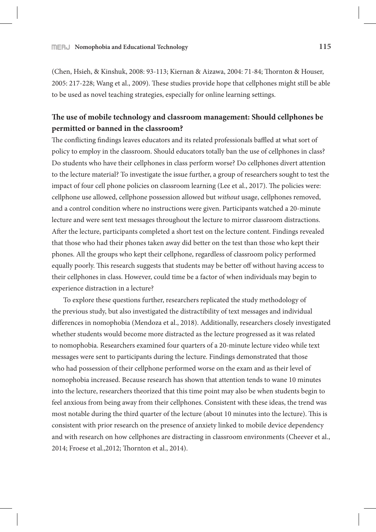(Chen, Hsieh, & Kinshuk, 2008: 93-113; Kiernan & Aizawa, 2004: 71-84; Thornton & Houser, 2005: 217-228; Wang et al., 2009). These studies provide hope that cellphones might still be able to be used as novel teaching strategies, especially for online learning settings.

# **!e use of mobile technology and classroom management: Should cellphones be permitted or banned in the classroom?**

The conflicting findings leaves educators and its related professionals baffled at what sort of policy to employ in the classroom. Should educators totally ban the use of cellphones in class? Do students who have their cellphones in class perform worse? Do cellphones divert attention to the lecture material? To investigate the issue further, a group of researchers sought to test the impact of four cell phone policies on classroom learning (Lee et al., 2017). The policies were: cellphone use allowed, cellphone possession allowed but *without* usage, cellphones removed, and a control condition where no instructions were given. Participants watched a 20-minute lecture and were sent text messages throughout the lecture to mirror classroom distractions. After the lecture, participants completed a short test on the lecture content. Findings revealed that those who had their phones taken away did better on the test than those who kept their phones. All the groups who kept their cellphone, regardless of classroom policy performed equally poorly. This research suggests that students may be better off without having access to their cellphones in class. However, could time be a factor of when individuals may begin to experience distraction in a lecture?

To explore these questions further, researchers replicated the study methodology of the previous study, but also investigated the distractibility of text messages and individual differences in nomophobia (Mendoza et al., 2018). Additionally, researchers closely investigated whether students would become more distracted as the lecture progressed as it was related to nomophobia. Researchers examined four quarters of a 20-minute lecture video while text messages were sent to participants during the lecture. Findings demonstrated that those who had possession of their cellphone performed worse on the exam and as their level of nomophobia increased. Because research has shown that attention tends to wane 10 minutes into the lecture, researchers theorized that this time point may also be when students begin to feel anxious from being away from their cellphones. Consistent with these ideas, the trend was most notable during the third quarter of the lecture (about 10 minutes into the lecture). This is consistent with prior research on the presence of anxiety linked to mobile device dependency and with research on how cellphones are distracting in classroom environments (Cheever et al., 2014; Froese et al., 2012; Thornton et al., 2014).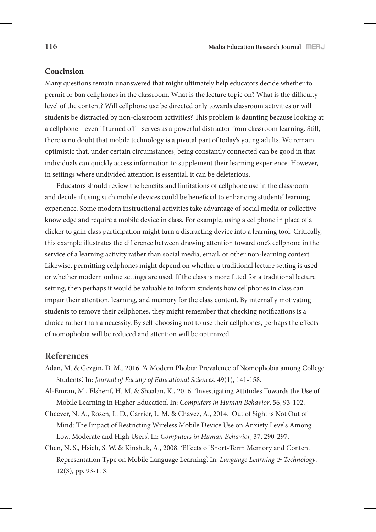#### **Conclusion**

Many questions remain unanswered that might ultimately help educators decide whether to permit or ban cellphones in the classroom. What is the lecture topic on? What is the difficulty level of the content? Will cellphone use be directed only towards classroom activities or will students be distracted by non-classroom activities? This problem is daunting because looking at a cellphone—even if turned off—serves as a powerful distractor from classroom learning. Still, there is no doubt that mobile technology is a pivotal part of today's young adults. We remain optimistic that, under certain circumstances, being constantly connected can be good in that individuals can quickly access information to supplement their learning experience. However, in settings where undivided attention is essential, it can be deleterious.

Educators should review the benefits and limitations of cellphone use in the classroom and decide if using such mobile devices could be beneficial to enhancing students' learning experience. Some modern instructional activities take advantage of social media or collective knowledge and require a mobile device in class. For example, using a cellphone in place of a clicker to gain class participation might turn a distracting device into a learning tool. Critically, this example illustrates the difference between drawing attention toward one's cellphone in the service of a learning activity rather than social media, email, or other non-learning context. Likewise, permitting cellphones might depend on whether a traditional lecture setting is used or whether modern online settings are used. If the class is more fitted for a traditional lecture setting, then perhaps it would be valuable to inform students how cellphones in class can impair their attention, learning, and memory for the class content. By internally motivating students to remove their cellphones, they might remember that checking notifications is a choice rather than a necessity. By self-choosing not to use their cellphones, perhaps the effects of nomophobia will be reduced and attention will be optimized.

### **References**

- Adan, M. & Gezgin, D. M,. 2016. 'A Modern Phobia: Prevalence of Nomophobia among College Students'. In: *Journal of Faculty of Educational Sciences*. 49(1), 141-158.
- Al-Emran, M., Elsherif, H. M. & Shaalan, K., 2016. 'Investigating Attitudes Towards the Use of Mobile Learning in Higher Education'. In: *Computers in Human Behavior*, 56, 93-102.
- Cheever, N. A., Rosen, L. D., Carrier, L. M. & Chavez, A., 2014. 'Out of Sight is Not Out of Mind: The Impact of Restricting Wireless Mobile Device Use on Anxiety Levels Among Low, Moderate and High Users'. In: *Computers in Human Behavior*, 37, 290-297.
- Chen, N. S., Hsieh, S. W. & Kinshuk, A., 2008. 'E#ects of Short-Term Memory and Content Representation Type on Mobile Language Learning'. In: *Language Learning & Technology*. 12(3), pp. 93-113.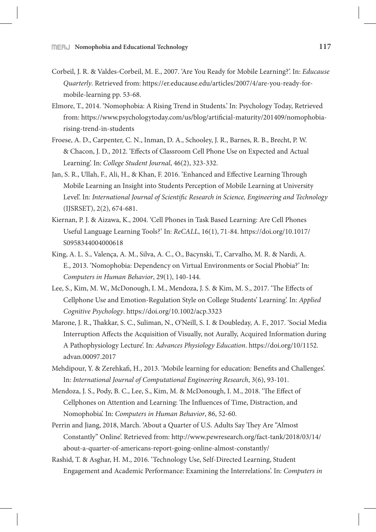- Corbeil, J. R. & Valdes-Corbeil, M. E., 2007. 'Are You Ready for Mobile Learning?'. In: *Educause Quarterly*. Retrieved from: https://er.educause.edu/articles/2007/4/are-you-ready-formobile-learning pp. 53-68.
- Elmore, T., 2014. 'Nomophobia: A Rising Trend in Students.' In: Psychology Today, Retrieved from: https://www.psychologytoday.com/us/blog/artificial-maturity/201409/nomophobiarising-trend-in-students
- Froese, A. D., Carpenter, C. N., Inman, D. A., Schooley, J. R., Barnes, R. B., Brecht, P. W. & Chacon, J. D., 2012. 'E#ects of Classroom Cell Phone Use on Expected and Actual Learning'. In: *College Student Journal*, 46(2), 323-332.
- Jan, S. R., Ullah, F., Ali, H., & Khan, F. 2016. 'Enhanced and Effective Learning Through Mobile Learning an Insight into Students Perception of Mobile Learning at University Level'. In: *International Journal of Scientific Research in Science, Engineering and Technology* (IJSRSET), 2(2), 674-681.
- Kiernan, P. J. & Aizawa, K., 2004. 'Cell Phones in Task Based Learning: Are Cell Phones Useful Language Learning Tools?' In: *ReCALL*, 16(1), 71-84. https://doi.org/10.1017/ S0958344004000618
- King, A. L. S., Valença, A. M., Silva, A. C., O., Bacynski, T., Carvalho, M. R. & Nardi, A. E., 2013. 'Nomophobia: Dependency on Virtual Environments or Social Phobia?' In: *Computers in Human Behavior*, 29(1), 140-144.
- Lee, S., Kim, M. W., McDonough, I. M., Mendoza, J. S. & Kim, M. S., 2017. 'The Effects of Cellphone Use and Emotion-Regulation Style on College Students' Learning'. In: *Applied Cognitive Psychology*. https://doi.org/10.1002/acp.3323
- Marone, J. R., Thakkar, S. C., Suliman, N., O'Neill, S. I. & Doubleday, A. F., 2017. 'Social Media Interruption Affects the Acquisition of Visually, not Aurally, Acquired Information during A Pathophysiology Lecture'. In: *Advances Physiology Education*. https://doi.org/10/1152. advan.00097.2017
- Mehdipour, Y. & Zerehkafi, H., 2013. 'Mobile learning for education: Benefits and Challenges'. In: *International Journal of Computational Engineering Research*, 3(6), 93-101.
- Mendoza, J. S., Pody, B. C., Lee, S., Kim, M. & McDonough, I. M., 2018. 'The Effect of Cellphones on Attention and Learning: The Influences of Time, Distraction, and Nomophobia'. In: *Computers in Human Behavior*, 86, 52-60.
- Perrin and Jiang, 2018, March. 'About a Quarter of U.S. Adults Say They Are "Almost" Constantly" Online'. Retrieved from: http://www.pewresearch.org/fact-tank/2018/03/14/ about-a-quarter-of-americans-report-going-online-almost-constantly/
- Rashid, T. & Asghar, H. M., 2016. 'Technology Use, Self-Directed Learning, Student Engagement and Academic Performance: Examining the Interrelations'. In: *Computers in*